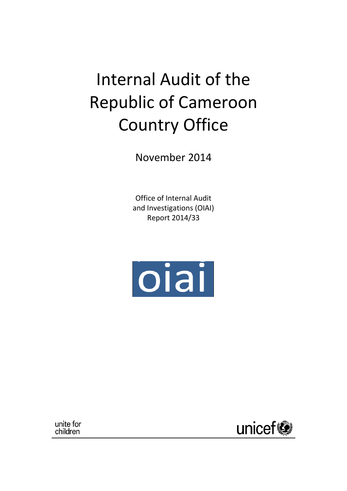# Internal Audit of the Republic of Cameroon Country Office

November 2014

Office of Internal Audit and Investigations (OIAI) Report 2014/33



unite for children

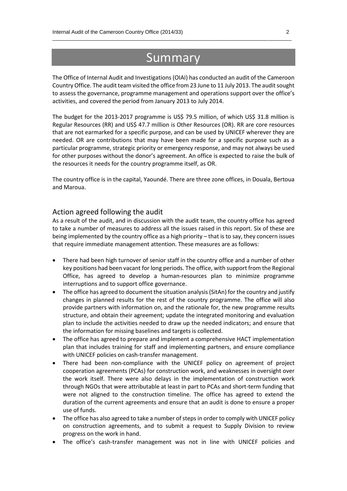# Summary

\_\_\_\_\_\_\_\_\_\_\_\_\_\_\_\_\_\_\_\_\_\_\_\_\_\_\_\_\_\_\_\_\_\_\_\_\_\_\_\_\_\_\_\_\_\_\_\_\_\_\_\_\_\_\_\_\_\_\_\_\_\_\_\_\_\_\_\_\_\_\_\_\_\_\_\_\_\_\_\_\_\_

The Office of Internal Audit and Investigations (OIAI) has conducted an audit of the Cameroon Country Office. The audit team visited the office from 23 June to 11 July 2013. The audit sought to assess the governance, programme management and operations support over the office's activities, and covered the period from January 2013 to July 2014.

The budget for the 2013-2017 programme is US\$ 79.5 million, of which US\$ 31.8 million is Regular Resources (RR) and US\$ 47.7 million is Other Resources (OR). RR are core resources that are not earmarked for a specific purpose, and can be used by UNICEF wherever they are needed. OR are contributions that may have been made for a specific purpose such as a particular programme, strategic priority or emergency response, and may not always be used for other purposes without the donor's agreement. An office is expected to raise the bulk of the resources it needs for the country programme itself, as OR.

The country office is in the capital, Yaoundé. There are three zone offices, in Douala, Bertoua and Maroua.

#### Action agreed following the audit

As a result of the audit, and in discussion with the audit team, the country office has agreed to take a number of measures to address all the issues raised in this report. Six of these are being implemented by the country office as a high priority – that is to say, they concern issues that require immediate management attention. These measures are as follows:

- There had been high turnover of senior staff in the country office and a number of other key positions had been vacant for long periods. The office, with support from the Regional Office, has agreed to develop a human-resources plan to minimize programme interruptions and to support office governance.
- The office has agreed to document the situation analysis (SitAn) for the country and justify changes in planned results for the rest of the country programme. The office will also provide partners with information on, and the rationale for, the new programme results structure, and obtain their agreement; update the integrated monitoring and evaluation plan to include the activities needed to draw up the needed indicators; and ensure that the information for missing baselines and targets is collected.
- The office has agreed to prepare and implement a comprehensive HACT implementation plan that includes training for staff and implementing partners, and ensure compliance with UNICEF policies on cash-transfer management.
- There had been non-compliance with the UNICEF policy on agreement of project cooperation agreements (PCAs) for construction work, and weaknesses in oversight over the work itself. There were also delays in the implementation of construction work through NGOs that were attributable at least in part to PCAs and short-term funding that were not aligned to the construction timeline. The office has agreed to extend the duration of the current agreements and ensure that an audit is done to ensure a proper use of funds.
- The office has also agreed to take a number of stepsin order to comply with UNICEF policy on construction agreements, and to submit a request to Supply Division to review progress on the work in hand.
- The office's cash-transfer management was not in line with UNICEF policies and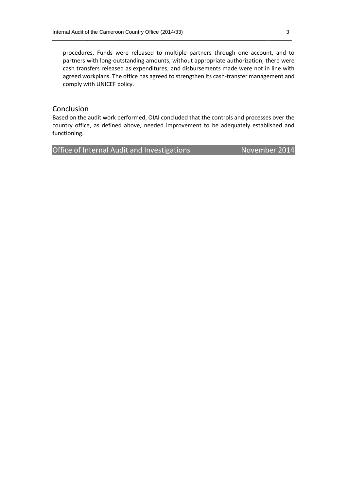procedures. Funds were released to multiple partners through one account, and to partners with long-outstanding amounts, without appropriate authorization; there were cash transfers released as expenditures; and disbursements made were not in line with agreed workplans. The office has agreed to strengthen its cash-transfer management and comply with UNICEF policy.

\_\_\_\_\_\_\_\_\_\_\_\_\_\_\_\_\_\_\_\_\_\_\_\_\_\_\_\_\_\_\_\_\_\_\_\_\_\_\_\_\_\_\_\_\_\_\_\_\_\_\_\_\_\_\_\_\_\_\_\_\_\_\_\_\_\_\_\_\_\_\_\_\_\_\_\_\_\_\_\_\_\_

#### Conclusion

Based on the audit work performed, OIAI concluded that the controls and processes over the country office, as defined above, needed improvement to be adequately established and functioning.

Office of Internal Audit and Investigations November 2014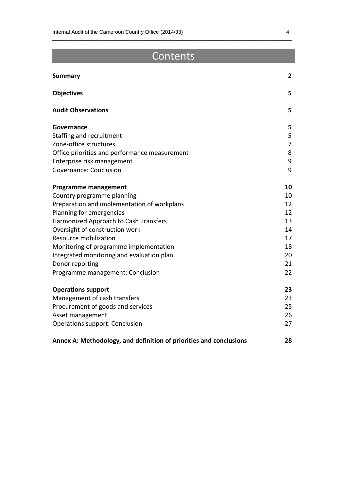# Contents

\_\_\_\_\_\_\_\_\_\_\_\_\_\_\_\_\_\_\_\_\_\_\_\_\_\_\_\_\_\_\_\_\_\_\_\_\_\_\_\_\_\_\_\_\_\_\_\_\_\_\_\_\_\_\_\_\_\_\_\_\_\_\_\_\_\_\_\_\_\_\_\_\_\_\_\_\_\_\_\_\_\_

| <b>Summary</b>                                                     | $\mathbf{2}$ |
|--------------------------------------------------------------------|--------------|
| <b>Objectives</b>                                                  | 5            |
| <b>Audit Observations</b>                                          | 5            |
| Governance                                                         | 5            |
| Staffing and recruitment                                           | 5            |
| Zone-office structures                                             | 7            |
| Office priorities and performance measurement                      | 8            |
| Enterprise risk management                                         | 9            |
| Governance: Conclusion                                             | 9            |
| <b>Programme management</b>                                        | 10           |
| Country programme planning                                         | 10           |
| Preparation and implementation of workplans                        | 12           |
| Planning for emergencies                                           | 12           |
| Harmonized Approach to Cash Transfers                              | 13           |
| Oversight of construction work                                     | 14           |
| Resource mobilization                                              | 17           |
| Monitoring of programme implementation                             | 18           |
| Integrated monitoring and evaluation plan                          | 20           |
| Donor reporting                                                    | 21           |
| Programme management: Conclusion                                   | 22           |
| <b>Operations support</b>                                          | 23           |
| Management of cash transfers                                       | 23           |
| Procurement of goods and services                                  | 25           |
| Asset management                                                   | 26           |
| <b>Operations support: Conclusion</b>                              | 27           |
| Annex A: Methodology, and definition of priorities and conclusions | 28           |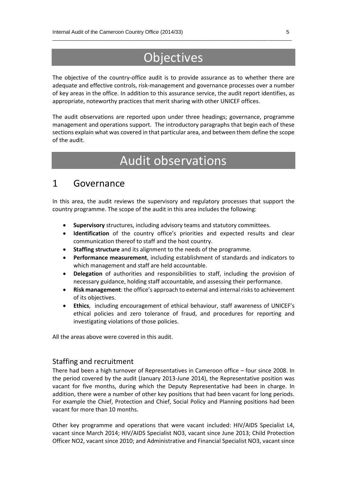# **Objectives**

\_\_\_\_\_\_\_\_\_\_\_\_\_\_\_\_\_\_\_\_\_\_\_\_\_\_\_\_\_\_\_\_\_\_\_\_\_\_\_\_\_\_\_\_\_\_\_\_\_\_\_\_\_\_\_\_\_\_\_\_\_\_\_\_\_\_\_\_\_\_\_\_\_\_\_\_\_\_\_\_\_\_

The objective of the country-office audit is to provide assurance as to whether there are adequate and effective controls, risk-management and governance processes over a number of key areas in the office. In addition to this assurance service, the audit report identifies, as appropriate, noteworthy practices that merit sharing with other UNICEF offices.

The audit observations are reported upon under three headings; governance, programme management and operations support. The introductory paragraphs that begin each of these sections explain what was covered in that particular area, and between them define the scope of the audit.

# Audit observations

### 1 Governance

In this area, the audit reviews the supervisory and regulatory processes that support the country programme. The scope of the audit in this area includes the following:

- **Supervisory** structures, including advisory teams and statutory committees.
- **Identification** of the country office's priorities and expected results and clear communication thereof to staff and the host country.
- **Staffing structure** and its alignment to the needs of the programme.
- **Performance measurement**, including establishment of standards and indicators to which management and staff are held accountable.
- **Delegation** of authorities and responsibilities to staff, including the provision of necessary guidance, holding staff accountable, and assessing their performance.
- **Risk management**: the office's approach to external and internal risks to achievement of its objectives.
- **Ethics**, including encouragement of ethical behaviour, staff awareness of UNICEF's ethical policies and zero tolerance of fraud, and procedures for reporting and investigating violations of those policies.

All the areas above were covered in this audit.

#### Staffing and recruitment

There had been a high turnover of Representatives in Cameroon office – four since 2008. In the period covered by the audit (January 2013-June 2014), the Representative position was vacant for five months, during which the Deputy Representative had been in charge. In addition, there were a number of other key positions that had been vacant for long periods. For example the Chief, Protection and Chief, Social Policy and Planning positions had been vacant for more than 10 months.

Other key programme and operations that were vacant included: HIV/AIDS Specialist L4, vacant since March 2014; HIV/AIDS Specialist NO3, vacant since June 2013; Child Protection Officer NO2, vacant since 2010; and Administrative and Financial Specialist NO3, vacant since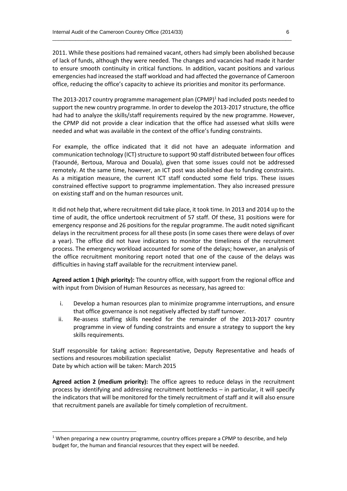2011. While these positions had remained vacant, others had simply been abolished because of lack of funds, although they were needed. The changes and vacancies had made it harder to ensure smooth continuity in critical functions. In addition, vacant positions and various emergencies had increased the staff workload and had affected the governance of Cameroon office, reducing the office's capacity to achieve its priorities and monitor its performance.

\_\_\_\_\_\_\_\_\_\_\_\_\_\_\_\_\_\_\_\_\_\_\_\_\_\_\_\_\_\_\_\_\_\_\_\_\_\_\_\_\_\_\_\_\_\_\_\_\_\_\_\_\_\_\_\_\_\_\_\_\_\_\_\_\_\_\_\_\_\_\_\_\_\_\_\_\_\_\_\_\_\_

The 2013-2017 country programme management plan  $(CPMP)^1$  had included posts needed to support the new country programme. In order to develop the 2013-2017 structure, the office had had to analyze the skills/staff requirements required by the new programme. However, the CPMP did not provide a clear indication that the office had assessed what skills were needed and what was available in the context of the office's funding constraints.

For example, the office indicated that it did not have an adequate information and communication technology (ICT) structure to support 90 staff distributed between four offices (Yaoundé, Bertoua, Maroua and Douala), given that some issues could not be addressed remotely. At the same time, however, an ICT post was abolished due to funding constraints. As a mitigation measure, the current ICT staff conducted some field trips. These issues constrained effective support to programme implementation. They also increased pressure on existing staff and on the human resources unit.

It did not help that, where recruitment did take place, it took time. In 2013 and 2014 up to the time of audit, the office undertook recruitment of 57 staff. Of these, 31 positions were for emergency response and 26 positions for the regular programme. The audit noted significant delays in the recruitment process for all these posts (in some cases there were delays of over a year). The office did not have indicators to monitor the timeliness of the recruitment process. The emergency workload accounted for some of the delays; however, an analysis of the office recruitment monitoring report noted that one of the cause of the delays was difficulties in having staff available for the recruitment interview panel.

**Agreed action 1 (high priority):** The country office, with support from the regional office and with input from Division of Human Resources as necessary, has agreed to:

- i. Develop a human resources plan to minimize programme interruptions, and ensure that office governance is not negatively affected by staff turnover.
- ii. Re-assess staffing skills needed for the remainder of the 2013-2017 country programme in view of funding constraints and ensure a strategy to support the key skills requirements.

Staff responsible for taking action: Representative, Deputy Representative and heads of sections and resources mobilization specialist

Date by which action will be taken: March 2015

**.** 

**Agreed action 2 (medium priority):** The office agrees to reduce delays in the recruitment process by identifying and addressing recruitment bottlenecks – in particular, it will specify the indicators that will be monitored for the timely recruitment of staff and it will also ensure that recruitment panels are available for timely completion of recruitment.

<sup>&</sup>lt;sup>1</sup> When preparing a new country programme, country offices prepare a CPMP to describe, and help budget for, the human and financial resources that they expect will be needed.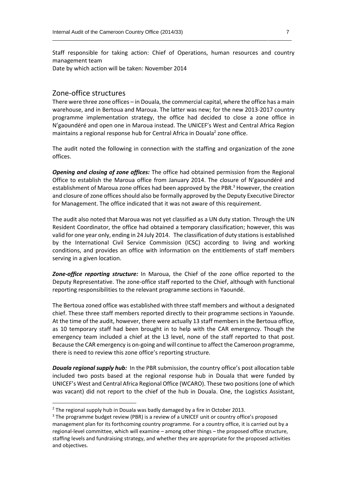Staff responsible for taking action: Chief of Operations, human resources and country management team

\_\_\_\_\_\_\_\_\_\_\_\_\_\_\_\_\_\_\_\_\_\_\_\_\_\_\_\_\_\_\_\_\_\_\_\_\_\_\_\_\_\_\_\_\_\_\_\_\_\_\_\_\_\_\_\_\_\_\_\_\_\_\_\_\_\_\_\_\_\_\_\_\_\_\_\_\_\_\_\_\_\_

Date by which action will be taken: November 2014

#### Zone-office structures

There were three zone offices – in Douala, the commercial capital, where the office has a main warehouse, and in Bertoua and Maroua. The latter was new; for the new 2013-2017 country programme implementation strategy, the office had decided to close a zone office in N'gaoundéré and open one in Maroua instead. The UNICEF's West and Central Africa Region maintains a regional response hub for Central Africa in Douala<sup>2</sup> zone office.

The audit noted the following in connection with the staffing and organization of the zone offices.

*Opening and closing of zone offices:* The office had obtained permission from the Regional Office to establish the Maroua office from January 2014. The closure of N'gaoundéré and establishment of Maroua zone offices had been approved by the PBR.<sup>3</sup> However, the creation and closure of zone officesshould also be formally approved by the Deputy Executive Director for Management. The office indicated that it was not aware of this requirement.

The audit also noted that Maroua was not yet classified as a UN duty station. Through the UN Resident Coordinator, the office had obtained a temporary classification; however, this was valid for one year only, ending in 24 July 2014. The classification of duty stations is established by the International Civil Service Commission (ICSC) according to living and working conditions, and provides an office with information on the entitlements of staff members serving in a given location.

*Zone-office reporting structure:* In Maroua, the Chief of the zone office reported to the Deputy Representative. The zone-office staff reported to the Chief, although with functional reporting responsibilities to the relevant programme sections in Yaoundé.

The Bertoua zoned office was established with three staff members and without a designated chief. These three staff members reported directly to their programme sections in Yaounde. At the time of the audit, however, there were actually 13 staff members in the Bertoua office, as 10 temporary staff had been brought in to help with the CAR emergency. Though the emergency team included a chief at the L3 level, none of the staff reported to that post. Because the CAR emergency is on-going and will continue to affect the Cameroon programme, there is need to review this zone office's reporting structure.

*Douala regional supply hub:* In the PBR submission, the country office's post allocation table included two posts based at the regional response hub in Douala that were funded by UNICEF's West and Central Africa Regional Office (WCARO). These two positions(one of which was vacant) did not report to the chief of the hub in Douala. One, the Logistics Assistant,

**.** 

<sup>&</sup>lt;sup>2</sup> The regional supply hub in Douala was badly damaged by a fire in October 2013.

<sup>&</sup>lt;sup>3</sup> The programme budget review (PBR) is a review of a UNICEF unit or country office's proposed management plan for its forthcoming country programme. For a country office, it is carried out by a regional-level committee, which will examine – among other things – the proposed office structure, staffing levels and fundraising strategy, and whether they are appropriate for the proposed activities and objectives.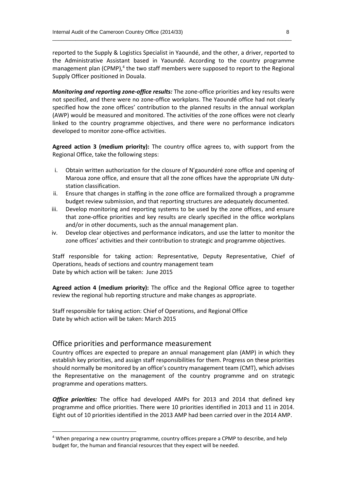reported to the Supply & Logistics Specialist in Yaoundé, and the other, a driver, reported to the Administrative Assistant based in Yaoundé. According to the country programme management plan (CPMP),<sup>4</sup> the two staff members were supposed to report to the Regional Supply Officer positioned in Douala.

\_\_\_\_\_\_\_\_\_\_\_\_\_\_\_\_\_\_\_\_\_\_\_\_\_\_\_\_\_\_\_\_\_\_\_\_\_\_\_\_\_\_\_\_\_\_\_\_\_\_\_\_\_\_\_\_\_\_\_\_\_\_\_\_\_\_\_\_\_\_\_\_\_\_\_\_\_\_\_\_\_\_

*Monitoring and reporting zone-office results:* The zone-office priorities and key results were not specified, and there were no zone-office workplans. The Yaoundé office had not clearly specified how the zone offices' contribution to the planned results in the annual workplan (AWP) would be measured and monitored. The activities of the zone offices were not clearly linked to the country programme objectives, and there were no performance indicators developed to monitor zone-office activities.

**Agreed action 3 (medium priority):** The country office agrees to, with support from the Regional Office, take the following steps:

- i. Obtain written authorization for the closure of N'gaoundéré zone office and opening of Maroua zone office, and ensure that all the zone offices have the appropriate UN dutystation classification.
- ii. Ensure that changes in staffing in the zone office are formalized through a programme budget review submission, and that reporting structures are adequately documented.
- iii. Develop monitoring and reporting systems to be used by the zone offices, and ensure that zone-office priorities and key results are clearly specified in the office workplans and/or in other documents, such as the annual management plan.
- iv. Develop clear objectives and performance indicators, and use the latter to monitor the zone offices' activities and their contribution to strategic and programme objectives.

Staff responsible for taking action: Representative, Deputy Representative, Chief of Operations, heads of sections and country management team Date by which action will be taken: June 2015

**Agreed action 4 (medium priority):** The office and the Regional Office agree to together review the regional hub reporting structure and make changes as appropriate.

Staff responsible for taking action: Chief of Operations, and Regional Office Date by which action will be taken: March 2015

#### Office priorities and performance measurement

**.** 

Country offices are expected to prepare an annual management plan (AMP) in which they establish key priorities, and assign staff responsibilities for them. Progress on these priorities should normally be monitored by an office's country management team (CMT), which advises the Representative on the management of the country programme and on strategic programme and operations matters.

*Office priorities:* The office had developed AMPs for 2013 and 2014 that defined key programme and office priorities. There were 10 priorities identified in 2013 and 11 in 2014. Eight out of 10 priorities identified in the 2013 AMP had been carried over in the 2014 AMP.

<sup>&</sup>lt;sup>4</sup> When preparing a new country programme, country offices prepare a CPMP to describe, and help budget for, the human and financial resources that they expect will be needed.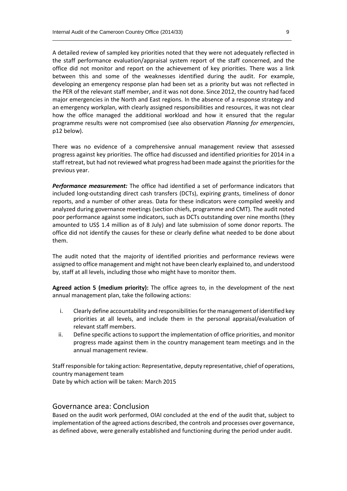A detailed review of sampled key priorities noted that they were not adequately reflected in the staff performance evaluation/appraisal system report of the staff concerned, and the office did not monitor and report on the achievement of key priorities. There was a link between this and some of the weaknesses identified during the audit. For example, developing an emergency response plan had been set as a priority but was not reflected in the PER of the relevant staff member, and it was not done. Since 2012, the country had faced major emergencies in the North and East regions. In the absence of a response strategy and an emergency workplan, with clearly assigned responsibilities and resources, it was not clear how the office managed the additional workload and how it ensured that the regular programme results were not compromised (see also observation *Planning for emergencies*, p12 below).

\_\_\_\_\_\_\_\_\_\_\_\_\_\_\_\_\_\_\_\_\_\_\_\_\_\_\_\_\_\_\_\_\_\_\_\_\_\_\_\_\_\_\_\_\_\_\_\_\_\_\_\_\_\_\_\_\_\_\_\_\_\_\_\_\_\_\_\_\_\_\_\_\_\_\_\_\_\_\_\_\_\_

There was no evidence of a comprehensive annual management review that assessed progress against key priorities. The office had discussed and identified priorities for 2014 in a staff retreat, but had not reviewed what progress had been made against the priorities for the previous year.

*Performance measurement:* The office had identified a set of performance indicators that included long-outstanding direct cash transfers (DCTs), expiring grants, timeliness of donor reports, and a number of other areas. Data for these indicators were compiled weekly and analyzed during governance meetings (section chiefs, programme and CMT). The audit noted poor performance against some indicators, such as DCTs outstanding over nine months (they amounted to US\$ 1.4 million as of 8 July) and late submission of some donor reports. The office did not identify the causes for these or clearly define what needed to be done about them.

The audit noted that the majority of identified priorities and performance reviews were assigned to office management and might not have been clearly explained to, and understood by, staff at all levels, including those who might have to monitor them.

**Agreed action 5 (medium priority):** The office agrees to, in the development of the next annual management plan, take the following actions:

- i. Clearly define accountability and responsibilities forthe management of identified key priorities at all levels, and include them in the personal appraisal/evaluation of relevant staff members.
- ii. Define specific actions to support the implementation of office priorities, and monitor progress made against them in the country management team meetings and in the annual management review.

Staff responsible for taking action: Representative, deputy representative, chief of operations, country management team

Date by which action will be taken: March 2015

#### Governance area: Conclusion

Based on the audit work performed, OIAI concluded at the end of the audit that, subject to implementation of the agreed actions described, the controls and processes over governance, as defined above, were generally established and functioning during the period under audit.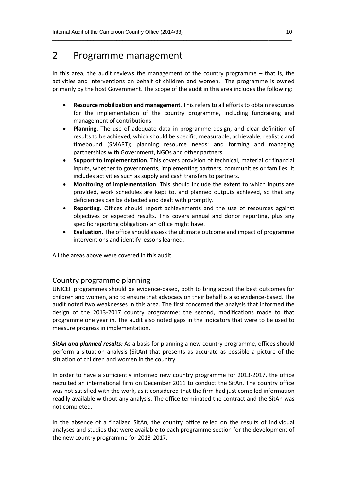## 2 Programme management

In this area, the audit reviews the management of the country programme  $-$  that is, the activities and interventions on behalf of children and women. The programme is owned primarily by the host Government. The scope of the audit in this area includes the following:

\_\_\_\_\_\_\_\_\_\_\_\_\_\_\_\_\_\_\_\_\_\_\_\_\_\_\_\_\_\_\_\_\_\_\_\_\_\_\_\_\_\_\_\_\_\_\_\_\_\_\_\_\_\_\_\_\_\_\_\_\_\_\_\_\_\_\_\_\_\_\_\_\_\_\_\_\_\_\_\_\_\_

- **Resource mobilization and management**. This refers to all efforts to obtain resources for the implementation of the country programme, including fundraising and management of contributions.
- **Planning**. The use of adequate data in programme design, and clear definition of results to be achieved, which should be specific, measurable, achievable, realistic and timebound (SMART); planning resource needs; and forming and managing partnerships with Government, NGOs and other partners.
- **Support to implementation**. This covers provision of technical, material or financial inputs, whether to governments, implementing partners, communities or families. It includes activities such as supply and cash transfers to partners.
- **Monitoring of implementation**. This should include the extent to which inputs are provided, work schedules are kept to, and planned outputs achieved, so that any deficiencies can be detected and dealt with promptly.
- **Reporting.** Offices should report achievements and the use of resources against objectives or expected results. This covers annual and donor reporting, plus any specific reporting obligations an office might have.
- **Evaluation**. The office should assess the ultimate outcome and impact of programme interventions and identify lessons learned.

All the areas above were covered in this audit.

#### Country programme planning

UNICEF programmes should be evidence-based, both to bring about the best outcomes for children and women, and to ensure that advocacy on their behalf is also evidence-based. The audit noted two weaknesses in this area. The first concerned the analysis that informed the design of the 2013-2017 country programme; the second, modifications made to that programme one year in. The audit also noted gaps in the indicators that were to be used to measure progress in implementation.

*SitAn and planned results:* As a basis for planning a new country programme, offices should perform a situation analysis (SitAn) that presents as accurate as possible a picture of the situation of children and women in the country.

In order to have a sufficiently informed new country programme for 2013-2017, the office recruited an international firm on December 2011 to conduct the SitAn. The country office was not satisfied with the work, as it considered that the firm had just compiled information readily available without any analysis. The office terminated the contract and the SitAn was not completed.

In the absence of a finalized SitAn, the country office relied on the results of individual analyses and studies that were available to each programme section for the development of the new country programme for 2013-2017.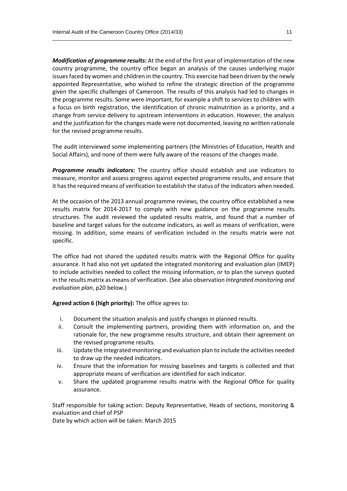*Modification of programme results:* At the end of the first year of implementation of the new country programme, the country office began an analysis of the causes underlying major issues faced by women and children in the country. This exercise had been driven by the newly appointed Representative, who wished to refine the strategic direction of the programme given the specific challenges of Cameroon. The results of this analysis had led to changes in the programme results. Some were important, for example a shift to services to children with a focus on birth registration, the identification of chronic malnutrition as a priority, and a change from service delivery to upstream interventions in education. However, the analysis and the justification for the changes made were not documented, leaving no written rationale for the revised programme results.

\_\_\_\_\_\_\_\_\_\_\_\_\_\_\_\_\_\_\_\_\_\_\_\_\_\_\_\_\_\_\_\_\_\_\_\_\_\_\_\_\_\_\_\_\_\_\_\_\_\_\_\_\_\_\_\_\_\_\_\_\_\_\_\_\_\_\_\_\_\_\_\_\_\_\_\_\_\_\_\_\_\_

The audit interviewed some implementing partners (the Ministries of Education, Health and Social Affairs), and none of them were fully aware of the reasons of the changes made.

*Programme results indicators:* The country office should establish and use indicators to measure, monitor and assess progress against expected programme results, and ensure that it has the required means of verification to establish the status of the indicators when needed.

At the occasion of the 2013 annual programme reviews, the country office established a new results matrix for 2014-2017 to comply with new guidance on the programme results structures. The audit reviewed the updated results matrix, and found that a number of baseline and target values for the outcome indicators, as well as means of verification, were missing. In addition, some means of verification included in the results matrix were not specific.

The office had not shared the updated results matrix with the Regional Office for quality assurance. It had also not yet updated the integrated monitoring and evaluation plan (IMEP) to include activities needed to collect the missing information, or to plan the surveys quoted in the results matrix as means of verification. (See also observation *Integrated monitoring and evaluation plan*, p20 below.)

**Agreed action 6 (high priority):** The office agrees to:

- i. Document the situation analysis and justify changes in planned results.
- ii. Consult the implementing partners, providing them with information on, and the rationale for, the new programme results structure, and obtain their agreement on the revised programme results.
- iii. Update the integrated monitoring and evaluation plan to include the activities needed to draw up the needed indicators.
- iv. Ensure that the information for missing baselines and targets is collected and that appropriate means of verification are identified for each indicator.
- v. Share the updated programme results matrix with the Regional Office for quality assurance.

Staff responsible for taking action: Deputy Representative, Heads of sections, monitoring & evaluation and chief of PSP

Date by which action will be taken: March 2015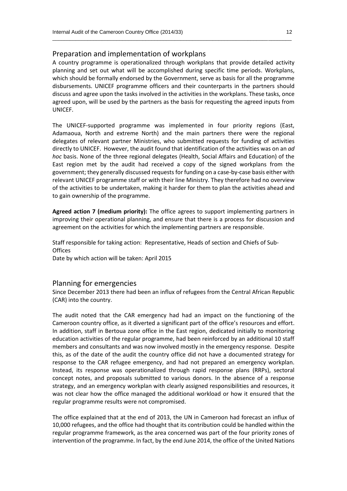#### Preparation and implementation of workplans

A country programme is operationalized through workplans that provide detailed activity planning and set out what will be accomplished during specific time periods. Workplans, which should be formally endorsed by the Government, serve as basis for all the programme disbursements. UNICEF programme officers and their counterparts in the partners should discuss and agree upon the tasks involved in the activities in the workplans. These tasks, once agreed upon, will be used by the partners as the basis for requesting the agreed inputs from UNICEF.

\_\_\_\_\_\_\_\_\_\_\_\_\_\_\_\_\_\_\_\_\_\_\_\_\_\_\_\_\_\_\_\_\_\_\_\_\_\_\_\_\_\_\_\_\_\_\_\_\_\_\_\_\_\_\_\_\_\_\_\_\_\_\_\_\_\_\_\_\_\_\_\_\_\_\_\_\_\_\_\_\_\_

The UNICEF-supported programme was implemented in four priority regions (East, Adamaoua, North and extreme North) and the main partners there were the regional delegates of relevant partner Ministries, who submitted requests for funding of activities directly to UNICEF. However, the audit found that identification of the activities was on an *ad hoc* basis. None of the three regional delegates (Health, Social Affairs and Education) of the East region met by the audit had received a copy of the signed workplans from the government; they generally discussed requests for funding on a case-by-case basis either with relevant UNICEF programme staff or with their line Ministry. They therefore had no overview of the activities to be undertaken, making it harder for them to plan the activities ahead and to gain ownership of the programme.

**Agreed action 7 (medium priority):** The office agrees to support implementing partners in improving their operational planning, and ensure that there is a process for discussion and agreement on the activities for which the implementing partners are responsible.

Staff responsible for taking action: Representative, Heads of section and Chiefs of Sub-**Offices** 

Date by which action will be taken: April 2015

#### Planning for emergencies

Since December 2013 there had been an influx of refugees from the Central African Republic (CAR) into the country.

The audit noted that the CAR emergency had had an impact on the functioning of the Cameroon country office, as it diverted a significant part of the office's resources and effort. In addition, staff in Bertoua zone office in the East region, dedicated initially to monitoring education activities of the regular programme, had been reinforced by an additional 10 staff members and consultants and was now involved mostly in the emergency response. Despite this, as of the date of the audit the country office did not have a documented strategy for response to the CAR refugee emergency, and had not prepared an emergency workplan. Instead, its response was operationalized through rapid response plans (RRPs), sectoral concept notes, and proposals submitted to various donors. In the absence of a response strategy, and an emergency workplan with clearly assigned responsibilities and resources, it was not clear how the office managed the additional workload or how it ensured that the regular programme results were not compromised.

The office explained that at the end of 2013, the UN in Cameroon had forecast an influx of 10,000 refugees, and the office had thought that its contribution could be handled within the regular programme framework, as the area concerned was part of the four priority zones of intervention of the programme. In fact, by the end June 2014, the office of the United Nations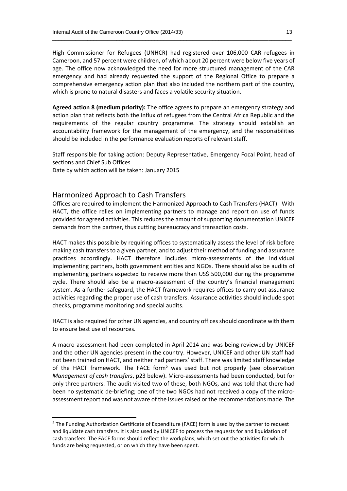High Commissioner for Refugees (UNHCR) had registered over 106,000 CAR refugees in Cameroon, and 57 percent were children, of which about 20 percent were below five years of age. The office now acknowledged the need for more structured management of the CAR emergency and had already requested the support of the Regional Office to prepare a comprehensive emergency action plan that also included the northern part of the country, which is prone to natural disasters and faces a volatile security situation.

\_\_\_\_\_\_\_\_\_\_\_\_\_\_\_\_\_\_\_\_\_\_\_\_\_\_\_\_\_\_\_\_\_\_\_\_\_\_\_\_\_\_\_\_\_\_\_\_\_\_\_\_\_\_\_\_\_\_\_\_\_\_\_\_\_\_\_\_\_\_\_\_\_\_\_\_\_\_\_\_\_\_

**Agreed action 8 (medium priority):** The office agrees to prepare an emergency strategy and action plan that reflects both the influx of refugees from the Central Africa Republic and the requirements of the regular country programme. The strategy should establish an accountability framework for the management of the emergency, and the responsibilities should be included in the performance evaluation reports of relevant staff.

Staff responsible for taking action: Deputy Representative, Emergency Focal Point, head of sections and Chief Sub Offices Date by which action will be taken: January 2015

#### Harmonized Approach to Cash Transfers

**.** 

Offices are required to implement the Harmonized Approach to Cash Transfers (HACT). With HACT, the office relies on implementing partners to manage and report on use of funds provided for agreed activities. This reduces the amount of supporting documentation UNICEF demands from the partner, thus cutting bureaucracy and transaction costs.

HACT makes this possible by requiring offices to systematically assess the level of risk before making cash transfers to a given partner, and to adjust their method of funding and assurance practices accordingly. HACT therefore includes micro-assessments of the individual implementing partners, both government entities and NGOs. There should also be audits of implementing partners expected to receive more than US\$ 500,000 during the programme cycle. There should also be a macro-assessment of the country's financial management system. As a further safeguard, the HACT framework requires offices to carry out assurance activities regarding the proper use of cash transfers. Assurance activities should include spot checks, programme monitoring and special audits.

HACT is also required for other UN agencies, and country offices should coordinate with them to ensure best use of resources.

A macro-assessment had been completed in April 2014 and was being reviewed by UNICEF and the other UN agencies present in the country. However, UNICEF and other UN staff had not been trained on HACT, and neither had partners' staff. There was limited staff knowledge of the HACT framework. The FACE form<sup>5</sup> was used but not properly (see observation *Management of cash transfers*, p23 below). Micro-assessments had been conducted, but for only three partners. The audit visited two of these, both NGOs, and was told that there had been no systematic de-briefing; one of the two NGOs had not received a copy of the microassessment report and was not aware of the issues raised or the recommendations made. The

<sup>&</sup>lt;sup>5</sup> The Funding Authorization Certificate of Expenditure (FACE) form is used by the partner to request and liquidate cash transfers. It is also used by UNICEF to process the requests for and liquidation of cash transfers. The FACE forms should reflect the workplans, which set out the activities for which funds are being requested, or on which they have been spent.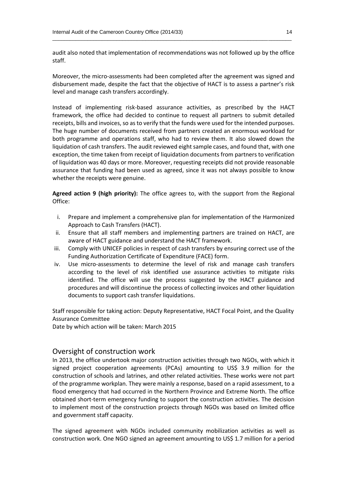audit also noted that implementation of recommendations was not followed up by the office staff.

\_\_\_\_\_\_\_\_\_\_\_\_\_\_\_\_\_\_\_\_\_\_\_\_\_\_\_\_\_\_\_\_\_\_\_\_\_\_\_\_\_\_\_\_\_\_\_\_\_\_\_\_\_\_\_\_\_\_\_\_\_\_\_\_\_\_\_\_\_\_\_\_\_\_\_\_\_\_\_\_\_\_

Moreover, the micro-assessments had been completed after the agreement was signed and disbursement made, despite the fact that the objective of HACT is to assess a partner's risk level and manage cash transfers accordingly.

Instead of implementing risk-based assurance activities, as prescribed by the HACT framework, the office had decided to continue to request all partners to submit detailed receipts, bills and invoices, so as to verify that the funds were used for the intended purposes. The huge number of documents received from partners created an enormous workload for both programme and operations staff, who had to review them. It also slowed down the liquidation of cash transfers. The audit reviewed eight sample cases, and found that, with one exception, the time taken from receipt of liquidation documents from partners to verification of liquidation was 40 days or more. Moreover, requesting receipts did not provide reasonable assurance that funding had been used as agreed, since it was not always possible to know whether the receipts were genuine.

**Agreed action 9 (high priority):** The office agrees to, with the support from the Regional Office:

- i. Prepare and implement a comprehensive plan for implementation of the Harmonized Approach to Cash Transfers (HACT).
- ii. Ensure that all staff members and implementing partners are trained on HACT, are aware of HACT guidance and understand the HACT framework.
- iii. Comply with UNICEF policies in respect of cash transfers by ensuring correct use of the Funding Authorization Certificate of Expenditure (FACE) form.
- iv. Use micro-assessments to determine the level of risk and manage cash transfers according to the level of risk identified use assurance activities to mitigate risks identified. The office will use the process suggested by the HACT guidance and procedures and will discontinue the process of collecting invoices and other liquidation documents to support cash transfer liquidations.

Staff responsible for taking action: Deputy Representative, HACT Focal Point, and the Quality Assurance Committee

Date by which action will be taken: March 2015

#### Oversight of construction work

In 2013, the office undertook major construction activities through two NGOs, with which it signed project cooperation agreements (PCAs) amounting to US\$ 3.9 million for the construction of schools and latrines, and other related activities. These works were not part of the programme workplan. They were mainly a response, based on a rapid assessment, to a flood emergency that had occurred in the Northern Province and Extreme North. The office obtained short-term emergency funding to support the construction activities. The decision to implement most of the construction projects through NGOs was based on limited office and government staff capacity.

The signed agreement with NGOs included community mobilization activities as well as construction work. One NGO signed an agreement amounting to US\$ 1.7 million for a period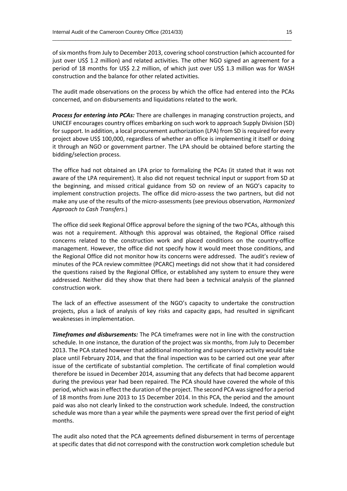of six months from July to December 2013, covering school construction (which accounted for just over US\$ 1.2 million) and related activities. The other NGO signed an agreement for a period of 18 months for US\$ 2.2 million, of which just over US\$ 1.3 million was for WASH construction and the balance for other related activities.

\_\_\_\_\_\_\_\_\_\_\_\_\_\_\_\_\_\_\_\_\_\_\_\_\_\_\_\_\_\_\_\_\_\_\_\_\_\_\_\_\_\_\_\_\_\_\_\_\_\_\_\_\_\_\_\_\_\_\_\_\_\_\_\_\_\_\_\_\_\_\_\_\_\_\_\_\_\_\_\_\_\_

The audit made observations on the process by which the office had entered into the PCAs concerned, and on disbursements and liquidations related to the work.

*Process for entering into PCAs:* There are challenges in managing construction projects, and UNICEF encourages country offices embarking on such work to approach Supply Division (SD) for support. In addition, a local procurement authorization (LPA) from SD is required for every project above US\$ 100,000, regardless of whether an office is implementing it itself or doing it through an NGO or government partner. The LPA should be obtained before starting the bidding/selection process.

The office had not obtained an LPA prior to formalizing the PCAs (it stated that it was not aware of the LPA requirement). It also did not request technical input or support from SD at the beginning, and missed critical guidance from SD on review of an NGO's capacity to implement construction projects. The office did micro-assess the two partners, but did not make any use of the results of the micro-assessments (see previous observation, *Harmonized Approach to Cash Transfers*.)

The office did seek Regional Office approval before the signing of the two PCAs, although this was not a requirement. Although this approval was obtained, the Regional Office raised concerns related to the construction work and placed conditions on the country-office management. However, the office did not specify how it would meet those conditions, and the Regional Office did not monitor how its concerns were addressed. The audit's review of minutes of the PCA review committee (PCARC) meetings did not show that it had considered the questions raised by the Regional Office, or established any system to ensure they were addressed. Neither did they show that there had been a technical analysis of the planned construction work.

The lack of an effective assessment of the NGO's capacity to undertake the construction projects, plus a lack of analysis of key risks and capacity gaps, had resulted in significant weaknesses in implementation.

*Timeframes and disbursements:* The PCA timeframes were not in line with the construction schedule. In one instance, the duration of the project was six months, from July to December 2013. The PCA stated however that additional monitoring and supervisory activity would take place until February 2014, and that the final inspection was to be carried out one year after issue of the certificate of substantial completion. The certificate of final completion would therefore be issued in December 2014, assuming that any defects that had become apparent during the previous year had been repaired. The PCA should have covered the whole of this period, which was in effect the duration of the project. The second PCA was signed for a period of 18 months from June 2013 to 15 December 2014. In this PCA, the period and the amount paid was also not clearly linked to the construction work schedule. Indeed, the construction schedule was more than a year while the payments were spread over the first period of eight months.

The audit also noted that the PCA agreements defined disbursement in terms of percentage at specific dates that did not correspond with the construction work completion schedule but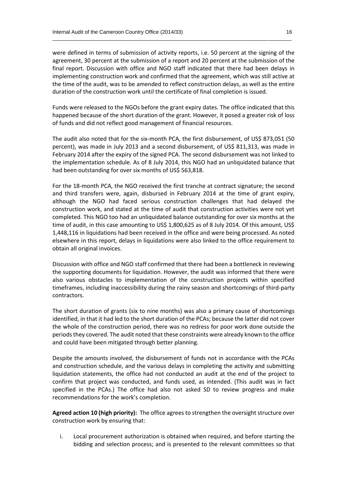were defined in terms of submission of activity reports, i.e. 50 percent at the signing of the agreement, 30 percent at the submission of a report and 20 percent at the submission of the final report. Discussion with office and NGO staff indicated that there had been delays in implementing construction work and confirmed that the agreement, which was still active at the time of the audit, was to be amended to reflect construction delays, as well as the entire duration of the construction work until the certificate of final completion is issued.

\_\_\_\_\_\_\_\_\_\_\_\_\_\_\_\_\_\_\_\_\_\_\_\_\_\_\_\_\_\_\_\_\_\_\_\_\_\_\_\_\_\_\_\_\_\_\_\_\_\_\_\_\_\_\_\_\_\_\_\_\_\_\_\_\_\_\_\_\_\_\_\_\_\_\_\_\_\_\_\_\_\_

Funds were released to the NGOs before the grant expiry dates. The office indicated that this happened because of the short duration of the grant. However, it posed a greater risk of loss of funds and did not reflect good management of financial resources.

The audit also noted that for the six-month PCA, the first disbursement, of US\$ 873,051 (50 percent), was made in July 2013 and a second disbursement, of US\$ 811,313, was made in February 2014 after the expiry of the signed PCA. The second disbursement was not linked to the implementation schedule. As of 8 July 2014, this NGO had an unliquidated balance that had been outstanding for over six months of US\$ 563,818.

For the 18-month PCA, the NGO received the first tranche at contract signature; the second and third transfers were, again, disbursed in February 2014 at the time of grant expiry, although the NGO had faced serious construction challenges that had delayed the construction work, and stated at the time of audit that construction activities were not yet completed. This NGO too had an unliquidated balance outstanding for over six months at the time of audit, in this case amounting to US\$ 1,800,625 as of 8 July 2014. Of this amount, US\$ 1,448,116 in liquidations had been received in the office and were being processed. As noted elsewhere in this report, delays in liquidations were also linked to the office requirement to obtain all original invoices.

Discussion with office and NGO staff confirmed that there had been a bottleneck in reviewing the supporting documents for liquidation. However, the audit was informed that there were also various obstacles to implementation of the construction projects within specified timeframes, including inaccessibility during the rainy season and shortcomings of third-party contractors.

The short duration of grants (six to nine months) was also a primary cause of shortcomings identified, in that it had led to the short duration of the PCAs; because the latter did not cover the whole of the construction period, there was no redress for poor work done outside the periods they covered. The audit noted that these constraints were already known to the office and could have been mitigated through better planning.

Despite the amounts involved, the disbursement of funds not in accordance with the PCAs and construction schedule, and the various delays in completing the activity and submitting liquidation statements, the office had not conducted an audit at the end of the project to confirm that project was conducted, and funds used, as intended. (This audit was in fact specified in the PCAs.) The office had also not asked SD to review progress and make recommendations for the work's completion.

**Agreed action 10 (high priority):** The office agrees to strengthen the oversight structure over construction work by ensuring that:

i. Local procurement authorization is obtained when required, and before starting the bidding and selection process; and is presented to the relevant committees so that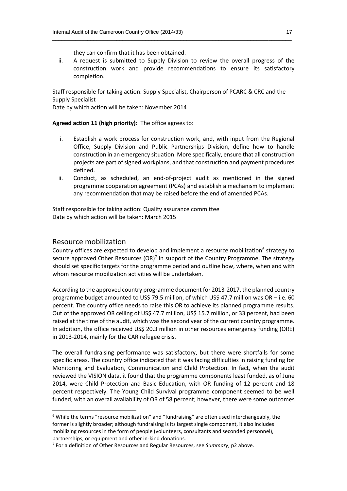they can confirm that it has been obtained.

ii. A request is submitted to Supply Division to review the overall progress of the construction work and provide recommendations to ensure its satisfactory completion.

\_\_\_\_\_\_\_\_\_\_\_\_\_\_\_\_\_\_\_\_\_\_\_\_\_\_\_\_\_\_\_\_\_\_\_\_\_\_\_\_\_\_\_\_\_\_\_\_\_\_\_\_\_\_\_\_\_\_\_\_\_\_\_\_\_\_\_\_\_\_\_\_\_\_\_\_\_\_\_\_\_\_

Staff responsible for taking action: Supply Specialist, Chairperson of PCARC & CRC and the Supply Specialist

Date by which action will be taken: November 2014

#### **Agreed action 11 (high priority):** The office agrees to:

- i. Establish a work process for construction work, and, with input from the Regional Office, Supply Division and Public Partnerships Division, define how to handle construction in an emergency situation. More specifically, ensure that all construction projects are part of signed workplans, and that construction and payment procedures defined.
- ii. Conduct, as scheduled, an end-of-project audit as mentioned in the signed programme cooperation agreement (PCAs) and establish a mechanism to implement any recommendation that may be raised before the end of amended PCAs.

Staff responsible for taking action: Quality assurance committee Date by which action will be taken: March 2015

#### Resource mobilization

 $\overline{a}$ 

Country offices are expected to develop and implement a resource mobilization<sup>6</sup> strategy to secure approved Other Resources (OR)<sup>7</sup> in support of the Country Programme. The strategy should set specific targets for the programme period and outline how, where, when and with whom resource mobilization activities will be undertaken.

According to the approved country programme document for 2013-2017, the planned country programme budget amounted to US\$ 79.5 million, of which US\$ 47.7 million was OR – i.e. 60 percent. The country office needs to raise this OR to achieve its planned programme results. Out of the approved OR ceiling of US\$ 47.7 million, US\$ 15.7 million, or 33 percent, had been raised at the time of the audit, which was the second year of the current country programme. In addition, the office received US\$ 20.3 million in other resources emergency funding (ORE) in 2013-2014, mainly for the CAR refugee crisis.

The overall fundraising performance was satisfactory, but there were shortfalls for some specific areas. The country office indicated that it was facing difficulties in raising funding for Monitoring and Evaluation, Communication and Child Protection. In fact, when the audit reviewed the VISION data, it found that the programme components least funded, as of June 2014, were Child Protection and Basic Education, with OR funding of 12 percent and 18 percent respectively. The Young Child Survival programme component seemed to be well funded, with an overall availability of OR of 58 percent; however, there were some outcomes

 $6$  While the terms "resource mobilization" and "fundraising" are often used interchangeably, the former is slightly broader; although fundraising is its largest single component, it also includes mobilizing resources in the form of people (volunteers, consultants and seconded personnel), partnerships, or equipment and other in-kind donations.

<sup>7</sup> For a definition of Other Resources and Regular Resources, see *Summary*, p2 above.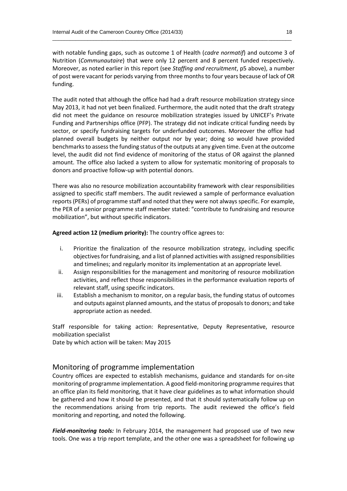with notable funding gaps, such as outcome 1 of Health (*cadre normatif*) and outcome 3 of Nutrition (*Communautaire*) that were only 12 percent and 8 percent funded respectively. Moreover, as noted earlier in this report (see *Staffing and recruitment*, p5 above), a number of post were vacant for periods varying from three months to four years because of lack of OR funding.

\_\_\_\_\_\_\_\_\_\_\_\_\_\_\_\_\_\_\_\_\_\_\_\_\_\_\_\_\_\_\_\_\_\_\_\_\_\_\_\_\_\_\_\_\_\_\_\_\_\_\_\_\_\_\_\_\_\_\_\_\_\_\_\_\_\_\_\_\_\_\_\_\_\_\_\_\_\_\_\_\_\_

The audit noted that although the office had had a draft resource mobilization strategy since May 2013, it had not yet been finalized. Furthermore, the audit noted that the draft strategy did not meet the guidance on resource mobilization strategies issued by UNICEF's Private Funding and Partnerships office (PFP). The strategy did not indicate critical funding needs by sector, or specify fundraising targets for underfunded outcomes. Moreover the office had planned overall budgets by neither output nor by year; doing so would have provided benchmarksto assess the funding status of the outputs at any given time. Even at the outcome level, the audit did not find evidence of monitoring of the status of OR against the planned amount. The office also lacked a system to allow for systematic monitoring of proposals to donors and proactive follow-up with potential donors.

There was also no resource mobilization accountability framework with clear responsibilities assigned to specific staff members. The audit reviewed a sample of performance evaluation reports (PERs) of programme staff and noted that they were not always specific. For example, the PER of a senior programme staff member stated: "contribute to fundraising and resource mobilization", but without specific indicators.

**Agreed action 12 (medium priority):** The country office agrees to:

- i. Prioritize the finalization of the resource mobilization strategy, including specific objectives for fundraising, and a list of planned activities with assigned responsibilities and timelines; and regularly monitor its implementation at an appropriate level.
- ii. Assign responsibilities for the management and monitoring of resource mobilization activities, and reflect those responsibilities in the performance evaluation reports of relevant staff, using specific indicators.
- iii. Establish a mechanism to monitor, on a regular basis, the funding status of outcomes and outputs against planned amounts, and the status of proposals to donors; and take appropriate action as needed.

Staff responsible for taking action: Representative, Deputy Representative, resource mobilization specialist

Date by which action will be taken: May 2015

#### Monitoring of programme implementation

Country offices are expected to establish mechanisms, guidance and standards for on-site monitoring of programme implementation. A good field-monitoring programme requires that an office plan its field monitoring, that it have clear guidelines as to what information should be gathered and how it should be presented, and that it should systematically follow up on the recommendations arising from trip reports. The audit reviewed the office's field monitoring and reporting, and noted the following.

*Field-monitoring tools:* In February 2014, the management had proposed use of two new tools. One was a trip report template, and the other one was a spreadsheet for following up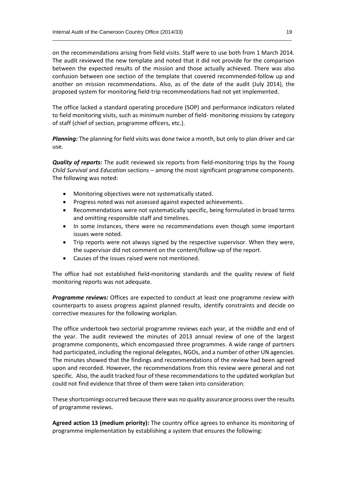on the recommendations arising from field visits. Staff were to use both from 1 March 2014. The audit reviewed the new template and noted that it did not provide for the comparison between the expected results of the mission and those actually achieved. There was also confusion between one section of the template that covered recommended-follow up and another on mission recommendations. Also, as of the date of the audit (July 2014), the proposed system for monitoring field-trip recommendations had not yet implemented.

\_\_\_\_\_\_\_\_\_\_\_\_\_\_\_\_\_\_\_\_\_\_\_\_\_\_\_\_\_\_\_\_\_\_\_\_\_\_\_\_\_\_\_\_\_\_\_\_\_\_\_\_\_\_\_\_\_\_\_\_\_\_\_\_\_\_\_\_\_\_\_\_\_\_\_\_\_\_\_\_\_\_

The office lacked a standard operating procedure (SOP) and performance indicators related to field monitoring visits, such as minimum number of field- monitoring missions by category of staff (chief of section, programme officers, etc.).

*Planning:* The planning for field visits was done twice a month, but only to plan driver and car use.

*Quality of reports:* The audit reviewed six reports from field-monitoring trips by the *Young Child Survival* and *Education* sections – among the most significant programme components. The following was noted:

- Monitoring objectives were not systematically stated.
- Progress noted was not assessed against expected achievements.
- Recommendations were not systematically specific, being formulated in broad terms and omitting responsible staff and timelines.
- In some instances, there were no recommendations even though some important issues were noted.
- Trip reports were not always signed by the respective supervisor. When they were, the supervisor did not comment on the content/follow-up of the report.
- Causes of the issues raised were not mentioned.

The office had not established field-monitoring standards and the quality review of field monitoring reports was not adequate.

*Programme reviews:* Offices are expected to conduct at least one programme review with counterparts to assess progress against planned results, identify constraints and decide on corrective measures for the following workplan.

The office undertook two sectorial programme reviews each year, at the middle and end of the year. The audit reviewed the minutes of 2013 annual review of one of the largest programme components, which encompassed three programmes. A wide range of partners had participated, including the regional delegates, NGOs, and a number of other UN agencies. The minutes showed that the findings and recommendations of the review had been agreed upon and recorded. However, the recommendations from this review were general and not specific. Also, the audit tracked four of these recommendations to the updated workplan but could not find evidence that three of them were taken into consideration.

These shortcomings occurred because there was no quality assurance process over the results of programme reviews.

**Agreed action 13 (medium priority):** The country office agrees to enhance its monitoring of programme implementation by establishing a system that ensures the following: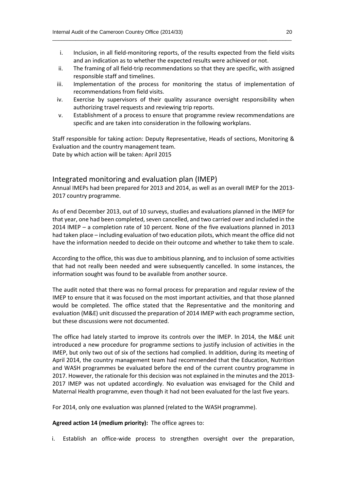i. Inclusion, in all field-monitoring reports, of the results expected from the field visits and an indication as to whether the expected results were achieved or not.

\_\_\_\_\_\_\_\_\_\_\_\_\_\_\_\_\_\_\_\_\_\_\_\_\_\_\_\_\_\_\_\_\_\_\_\_\_\_\_\_\_\_\_\_\_\_\_\_\_\_\_\_\_\_\_\_\_\_\_\_\_\_\_\_\_\_\_\_\_\_\_\_\_\_\_\_\_\_\_\_\_\_

- ii. The framing of all field-trip recommendations so that they are specific, with assigned responsible staff and timelines.
- iii. Implementation of the process for monitoring the status of implementation of recommendations from field visits.
- iv. Exercise by supervisors of their quality assurance oversight responsibility when authorizing travel requests and reviewing trip reports.
- v. Establishment of a process to ensure that programme review recommendations are specific and are taken into consideration in the following workplans.

Staff responsible for taking action: Deputy Representative, Heads of sections, Monitoring & Evaluation and the country management team. Date by which action will be taken: April 2015

#### Integrated monitoring and evaluation plan (IMEP)

Annual IMEPs had been prepared for 2013 and 2014, as well as an overall IMEP for the 2013- 2017 country programme.

As of end December 2013, out of 10 surveys, studies and evaluations planned in the IMEP for that year, one had been completed, seven cancelled, and two carried over and included in the 2014 IMEP – a completion rate of 10 percent. None of the five evaluations planned in 2013 had taken place – including evaluation of two education pilots, which meant the office did not have the information needed to decide on their outcome and whether to take them to scale.

According to the office, this was due to ambitious planning, and to inclusion of some activities that had not really been needed and were subsequently cancelled. In some instances, the information sought was found to be available from another source.

The audit noted that there was no formal process for preparation and regular review of the IMEP to ensure that it was focused on the most important activities, and that those planned would be completed. The office stated that the Representative and the monitoring and evaluation (M&E) unit discussed the preparation of 2014 IMEP with each programme section, but these discussions were not documented.

The office had lately started to improve its controls over the IMEP. In 2014, the M&E unit introduced a new procedure for programme sections to justify inclusion of activities in the IMEP, but only two out of six of the sections had complied. In addition, during its meeting of April 2014, the country management team had recommended that the Education, Nutrition and WASH programmes be evaluated before the end of the current country programme in 2017. However, the rationale for this decision was not explained in the minutes and the 2013- 2017 IMEP was not updated accordingly. No evaluation was envisaged for the Child and Maternal Health programme, even though it had not been evaluated for the last five years.

For 2014, only one evaluation was planned (related to the WASH programme).

#### **Agreed action 14 (medium priority):** The office agrees to:

i. Establish an office-wide process to strengthen oversight over the preparation,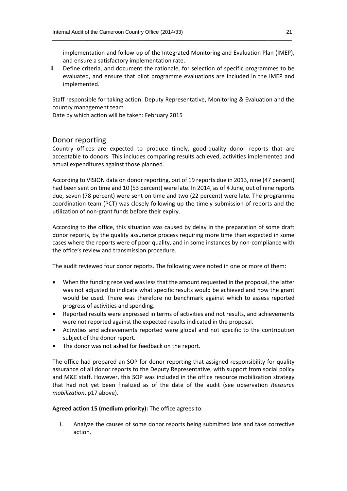implementation and follow-up of the Integrated Monitoring and Evaluation Plan (IMEP), and ensure a satisfactory implementation rate.

ii. Define criteria, and document the rationale, for selection of specific programmes to be evaluated, and ensure that pilot programme evaluations are included in the IMEP and implemented.

\_\_\_\_\_\_\_\_\_\_\_\_\_\_\_\_\_\_\_\_\_\_\_\_\_\_\_\_\_\_\_\_\_\_\_\_\_\_\_\_\_\_\_\_\_\_\_\_\_\_\_\_\_\_\_\_\_\_\_\_\_\_\_\_\_\_\_\_\_\_\_\_\_\_\_\_\_\_\_\_\_\_

Staff responsible for taking action: Deputy Representative, Monitoring & Evaluation and the country management team

Date by which action will be taken: February 2015

#### Donor reporting

Country offices are expected to produce timely, good-quality donor reports that are acceptable to donors. This includes comparing results achieved, activities implemented and actual expenditures against those planned.

According to VISION data on donor reporting, out of 19 reports due in 2013, nine (47 percent) had been sent on time and 10 (53 percent) were late. In 2014, as of 4 June, out of nine reports due, seven (78 percent) were sent on time and two (22 percent) were late. The programme coordination team (PCT) was closely following up the timely submission of reports and the utilization of non-grant funds before their expiry.

According to the office, this situation was caused by delay in the preparation of some draft donor reports, by the quality assurance process requiring more time than expected in some cases where the reports were of poor quality, and in some instances by non-compliance with the office's review and transmission procedure.

The audit reviewed four donor reports. The following were noted in one or more of them:

- When the funding received was less that the amount requested in the proposal, the latter was not adjusted to indicate what specific results would be achieved and how the grant would be used. There was therefore no benchmark against which to assess reported progress of activities and spending.
- Reported results were expressed in terms of activities and not results, and achievements were not reported against the expected results indicated in the proposal.
- Activities and achievements reported were global and not specific to the contribution subject of the donor report.
- The donor was not asked for feedback on the report.

The office had prepared an SOP for donor reporting that assigned responsibility for quality assurance of all donor reports to the Deputy Representative, with support from social policy and M&E staff. However, this SOP was included in the office resource mobilization strategy that had not yet been finalized as of the date of the audit (see observation *Resource mobilization*, p17 above).

**Agreed action 15 (medium priority):** The office agrees to:

i. Analyze the causes of some donor reports being submitted late and take corrective action.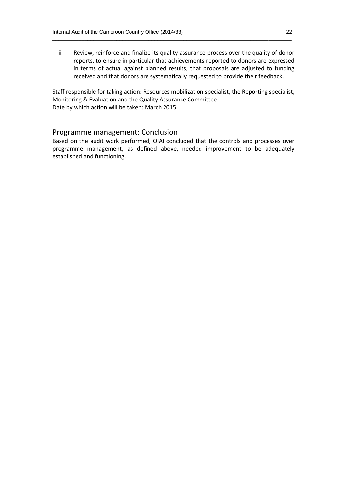ii. Review, reinforce and finalize its quality assurance process over the quality of donor reports, to ensure in particular that achievements reported to donors are expressed in terms of actual against planned results, that proposals are adjusted to funding received and that donors are systematically requested to provide their feedback.

\_\_\_\_\_\_\_\_\_\_\_\_\_\_\_\_\_\_\_\_\_\_\_\_\_\_\_\_\_\_\_\_\_\_\_\_\_\_\_\_\_\_\_\_\_\_\_\_\_\_\_\_\_\_\_\_\_\_\_\_\_\_\_\_\_\_\_\_\_\_\_\_\_\_\_\_\_\_\_\_\_\_

Staff responsible for taking action: Resources mobilization specialist, the Reporting specialist, Monitoring & Evaluation and the Quality Assurance Committee Date by which action will be taken: March 2015

#### Programme management: Conclusion

Based on the audit work performed, OIAI concluded that the controls and processes over programme management, as defined above, needed improvement to be adequately established and functioning.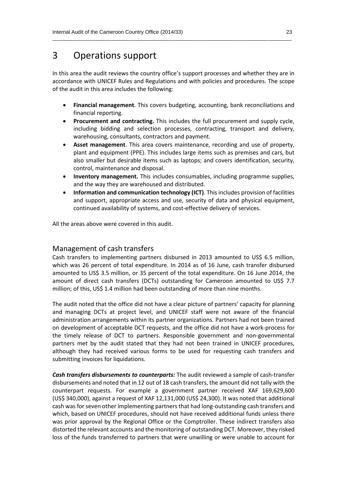### 3 Operations support

In this area the audit reviews the country office's support processes and whether they are in accordance with UNICEF Rules and Regulations and with policies and procedures. The scope of the audit in this area includes the following:

\_\_\_\_\_\_\_\_\_\_\_\_\_\_\_\_\_\_\_\_\_\_\_\_\_\_\_\_\_\_\_\_\_\_\_\_\_\_\_\_\_\_\_\_\_\_\_\_\_\_\_\_\_\_\_\_\_\_\_\_\_\_\_\_\_\_\_\_\_\_\_\_\_\_\_\_\_\_\_\_\_\_

- **Financial management**. This covers budgeting, accounting, bank reconciliations and financial reporting.
- **Procurement and contracting.** This includes the full procurement and supply cycle, including bidding and selection processes, contracting, transport and delivery, warehousing, consultants, contractors and payment.
- **Asset management**. This area covers maintenance, recording and use of property, plant and equipment (PPE). This includes large items such as premises and cars, but also smaller but desirable items such as laptops; and covers identification, security, control, maintenance and disposal.
- **Inventory management.** This includes consumables, including programme supplies, and the way they are warehoused and distributed.
- **Information and communication technology (ICT)**. This includes provision of facilities and support, appropriate access and use, security of data and physical equipment, continued availability of systems, and cost-effective delivery of services.

All the areas above were covered in this audit.

#### Management of cash transfers

Cash transfers to implementing partners disbursed in 2013 amounted to US\$ 6.5 million, which was 26 percent of total expenditure. In 2014 as of 16 June, cash transfer disbursed amounted to US\$ 3.5 million, or 35 percent of the total expenditure. On 16 June 2014, the amount of direct cash transfers (DCTs) outstanding for Cameroon amounted to US\$ 7.7 million; of this, US\$ 1.4 million had been outstanding of more than nine months.

The audit noted that the office did not have a clear picture of partners' capacity for planning and managing DCTs at project level, and UNICEF staff were not aware of the financial administration arrangements within its partner organizations. Partners had not been trained on development of acceptable DCT requests, and the office did not have a work-process for the timely release of DCT to partners. Responsible government and non-governmental partners met by the audit stated that they had not been trained in UNICEF procedures, although they had received various forms to be used for requesting cash transfers and submitting invoices for liquidations.

*Cash transfers disbursements to counterparts:* The audit reviewed a sample of cash-transfer disbursements and noted that in 12 out of 18 cash transfers, the amount did not tally with the counterpart requests. For example a government partner received XAF 169,629,600 (US\$ 340,000), against a request of XAF 12,131,000 (US\$ 24,300). It was noted that additional cash was forseven other implementing partners that had long-outstanding cash transfers and which, based on UNICEF procedures, should not have received additional funds unless there was prior approval by the Regional Office or the Comptroller. These indirect transfers also distorted the relevant accounts and the monitoring of outstanding DCT. Moreover, they risked loss of the funds transferred to partners that were unwilling or were unable to account for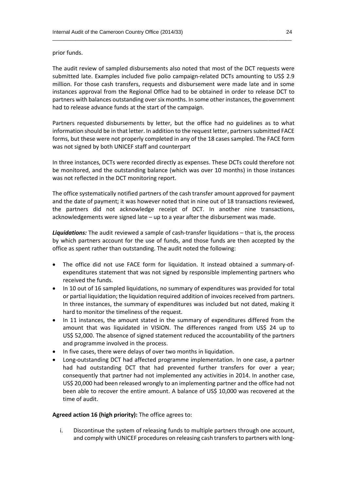prior funds.

The audit review of sampled disbursements also noted that most of the DCT requests were submitted late. Examples included five polio campaign-related DCTs amounting to US\$ 2.9 million. For those cash transfers, requests and disbursement were made late and in some instances approval from the Regional Office had to be obtained in order to release DCT to partners with balances outstanding over six months. In some other instances, the government had to release advance funds at the start of the campaign.

\_\_\_\_\_\_\_\_\_\_\_\_\_\_\_\_\_\_\_\_\_\_\_\_\_\_\_\_\_\_\_\_\_\_\_\_\_\_\_\_\_\_\_\_\_\_\_\_\_\_\_\_\_\_\_\_\_\_\_\_\_\_\_\_\_\_\_\_\_\_\_\_\_\_\_\_\_\_\_\_\_\_

Partners requested disbursements by letter, but the office had no guidelines as to what information should be in that letter. In addition to the request letter, partners submitted FACE forms, but these were not properly completed in any of the 18 cases sampled. The FACE form was not signed by both UNICEF staff and counterpart

In three instances, DCTs were recorded directly as expenses. These DCTs could therefore not be monitored, and the outstanding balance (which was over 10 months) in those instances was not reflected in the DCT monitoring report.

The office systematically notified partners of the cash transfer amount approved for payment and the date of payment; it was however noted that in nine out of 18 transactions reviewed, the partners did not acknowledge receipt of DCT. In another nine transactions, acknowledgements were signed late – up to a year after the disbursement was made.

*Liquidations:* The audit reviewed a sample of cash-transfer liquidations – that is, the process by which partners account for the use of funds, and those funds are then accepted by the office as spent rather than outstanding. The audit noted the following:

- The office did not use FACE form for liquidation. It instead obtained a summary-ofexpenditures statement that was not signed by responsible implementing partners who received the funds.
- In 10 out of 16 sampled liquidations, no summary of expenditures was provided for total or partial liquidation; the liquidation required addition of invoices received from partners. In three instances, the summary of expenditures was included but not dated, making it hard to monitor the timeliness of the request.
- In 11 instances, the amount stated in the summary of expenditures differed from the amount that was liquidated in VISION. The differences ranged from US\$ 24 up to US\$ 52,000. The absence of signed statement reduced the accountability of the partners and programme involved in the process.
- In five cases, there were delays of over two months in liquidation.
- Long-outstanding DCT had affected programme implementation. In one case, a partner had had outstanding DCT that had prevented further transfers for over a year; consequently that partner had not implemented any activities in 2014. In another case, US\$ 20,000 had been released wrongly to an implementing partner and the office had not been able to recover the entire amount. A balance of US\$ 10,000 was recovered at the time of audit.

#### **Agreed action 16 (high priority):** The office agrees to:

i. Discontinue the system of releasing funds to multiple partners through one account, and comply with UNICEF procedures on releasing cash transfers to partners with long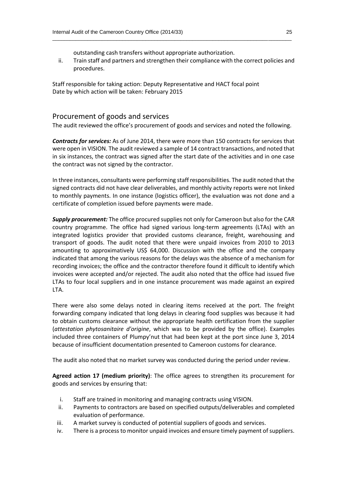outstanding cash transfers without appropriate authorization.

ii. Train staff and partners and strengthen their compliance with the correct policies and procedures.

\_\_\_\_\_\_\_\_\_\_\_\_\_\_\_\_\_\_\_\_\_\_\_\_\_\_\_\_\_\_\_\_\_\_\_\_\_\_\_\_\_\_\_\_\_\_\_\_\_\_\_\_\_\_\_\_\_\_\_\_\_\_\_\_\_\_\_\_\_\_\_\_\_\_\_\_\_\_\_\_\_\_

Staff responsible for taking action: Deputy Representative and HACT focal point Date by which action will be taken: February 2015

#### Procurement of goods and services

The audit reviewed the office's procurement of goods and services and noted the following.

*Contracts for services:* As of June 2014, there were more than 150 contracts for services that were open in VISION. The audit reviewed a sample of 14 contract transactions, and noted that in six instances, the contract was signed after the start date of the activities and in one case the contract was not signed by the contractor.

In three instances, consultants were performing staff responsibilities. The audit noted that the signed contracts did not have clear deliverables, and monthly activity reports were not linked to monthly payments. In one instance (logistics officer), the evaluation was not done and a certificate of completion issued before payments were made.

*Supply procurement:* The office procured supplies not only for Cameroon but also for the CAR country programme. The office had signed various long-term agreements (LTAs) with an integrated logistics provider that provided customs clearance, freight, warehousing and transport of goods. The audit noted that there were unpaid invoices from 2010 to 2013 amounting to approximatively US\$ 64,000. Discussion with the office and the company indicated that among the various reasons for the delays was the absence of a mechanism for recording invoices; the office and the contractor therefore found it difficult to identify which invoices were accepted and/or rejected. The audit also noted that the office had issued five LTAs to four local suppliers and in one instance procurement was made against an expired LTA.

There were also some delays noted in clearing items received at the port. The freight forwarding company indicated that long delays in clearing food supplies was because it had to obtain customs clearance without the appropriate health certification from the supplier (*attestation phytosanitaire d'origine*, which was to be provided by the office). Examples included three containers of Plumpy'nut that had been kept at the port since June 3, 2014 because of insufficient documentation presented to Cameroon customs for clearance.

The audit also noted that no market survey was conducted during the period under review.

**Agreed action 17 (medium priority)**: The office agrees to strengthen its procurement for goods and services by ensuring that:

- i. Staff are trained in monitoring and managing contracts using VISION.
- ii. Payments to contractors are based on specified outputs/deliverables and completed evaluation of performance.
- iii. A market survey is conducted of potential suppliers of goods and services.
- iv. There is a process to monitor unpaid invoices and ensure timely payment of suppliers.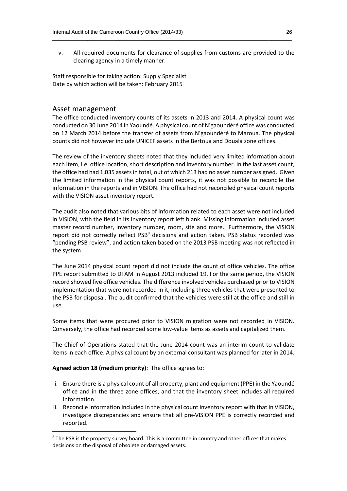v. All required documents for clearance of supplies from customs are provided to the clearing agency in a timely manner.

\_\_\_\_\_\_\_\_\_\_\_\_\_\_\_\_\_\_\_\_\_\_\_\_\_\_\_\_\_\_\_\_\_\_\_\_\_\_\_\_\_\_\_\_\_\_\_\_\_\_\_\_\_\_\_\_\_\_\_\_\_\_\_\_\_\_\_\_\_\_\_\_\_\_\_\_\_\_\_\_\_\_

Staff responsible for taking action: Supply Specialist Date by which action will be taken: February 2015

#### Asset management

The office conducted inventory counts of its assets in 2013 and 2014. A physical count was conducted on 30 June 2014 in Yaoundé. A physical count of N'gaoundéré office was conducted on 12 March 2014 before the transfer of assets from N'gaoundéré to Maroua. The physical counts did not however include UNICEF assets in the Bertoua and Douala zone offices.

The review of the inventory sheets noted that they included very limited information about each item, i.e. office location, short description and inventory number. In the last asset count, the office had had 1,035 assets in total, out of which 213 had no asset number assigned. Given the limited information in the physical count reports, it was not possible to reconcile the information in the reports and in VISION. The office had not reconciled physical count reports with the VISION asset inventory report.

The audit also noted that various bits of information related to each asset were not included in VISION, with the field in its inventory report left blank. Missing information included asset master record number, inventory number, room, site and more. Furthermore, the VISION report did not correctly reflect PSB<sup>8</sup> decisions and action taken. PSB status recorded was "pending PSB review", and action taken based on the 2013 PSB meeting was not reflected in the system.

The June 2014 physical count report did not include the count of office vehicles. The office PPE report submitted to DFAM in August 2013 included 19. For the same period, the VISION record showed five office vehicles. The difference involved vehicles purchased prior to VISION implementation that were not recorded in it, including three vehicles that were presented to the PSB for disposal. The audit confirmed that the vehicles were still at the office and still in use.

Some items that were procured prior to VISION migration were not recorded in VISION. Conversely, the office had recorded some low-value items as assets and capitalized them.

The Chief of Operations stated that the June 2014 count was an interim count to validate items in each office. A physical count by an external consultant was planned for later in 2014.

#### **Agreed action 18 (medium priority)**: The office agrees to:

**.** 

- i. Ensure there is a physical count of all property, plant and equipment (PPE) in the Yaoundé office and in the three zone offices, and that the inventory sheet includes all required information.
- ii. Reconcile information included in the physical count inventory report with that in VISION, investigate discrepancies and ensure that all pre-VISION PPE is correctly recorded and reported.

<sup>&</sup>lt;sup>8</sup> The PSB is the property survey board. This is a committee in country and other offices that makes decisions on the disposal of obsolete or damaged assets.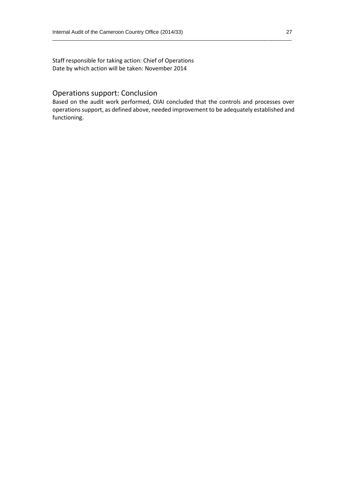Staff responsible for taking action: Chief of Operations Date by which action will be taken: November 2014

#### Operations support: Conclusion

Based on the audit work performed, OIAI concluded that the controls and processes over operations support, as defined above, needed improvement to be adequately established and functioning.

\_\_\_\_\_\_\_\_\_\_\_\_\_\_\_\_\_\_\_\_\_\_\_\_\_\_\_\_\_\_\_\_\_\_\_\_\_\_\_\_\_\_\_\_\_\_\_\_\_\_\_\_\_\_\_\_\_\_\_\_\_\_\_\_\_\_\_\_\_\_\_\_\_\_\_\_\_\_\_\_\_\_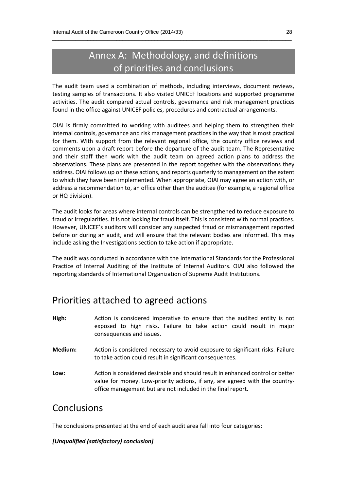# Annex A: Methodology, and definitions of priorities and conclusions

\_\_\_\_\_\_\_\_\_\_\_\_\_\_\_\_\_\_\_\_\_\_\_\_\_\_\_\_\_\_\_\_\_\_\_\_\_\_\_\_\_\_\_\_\_\_\_\_\_\_\_\_\_\_\_\_\_\_\_\_\_\_\_\_\_\_\_\_\_\_\_\_\_\_\_\_\_\_\_\_\_\_

The audit team used a combination of methods, including interviews, document reviews, testing samples of transactions. It also visited UNICEF locations and supported programme activities. The audit compared actual controls, governance and risk management practices found in the office against UNICEF policies, procedures and contractual arrangements.

OIAI is firmly committed to working with auditees and helping them to strengthen their internal controls, governance and risk management practices in the way that is most practical for them. With support from the relevant regional office, the country office reviews and comments upon a draft report before the departure of the audit team. The Representative and their staff then work with the audit team on agreed action plans to address the observations. These plans are presented in the report together with the observations they address. OIAI follows up on these actions, and reports quarterly to management on the extent to which they have been implemented. When appropriate, OIAI may agree an action with, or address a recommendation to, an office other than the auditee (for example, a regional office or HQ division).

The audit looks for areas where internal controls can be strengthened to reduce exposure to fraud or irregularities. It is not looking for fraud itself. This is consistent with normal practices. However, UNICEF's auditors will consider any suspected fraud or mismanagement reported before or during an audit, and will ensure that the relevant bodies are informed. This may include asking the Investigations section to take action if appropriate.

The audit was conducted in accordance with the International Standards for the Professional Practice of Internal Auditing of the Institute of Internal Auditors. OIAI also followed the reporting standards of International Organization of Supreme Audit Institutions.

## Priorities attached to agreed actions

- **High:** Action is considered imperative to ensure that the audited entity is not exposed to high risks. Failure to take action could result in major consequences and issues.
- **Medium:** Action is considered necessary to avoid exposure to significant risks. Failure to take action could result in significant consequences.
- **Low:** Action is considered desirable and should result in enhanced control or better value for money. Low-priority actions, if any, are agreed with the countryoffice management but are not included in the final report.

### **Conclusions**

The conclusions presented at the end of each audit area fall into four categories:

#### *[Unqualified (satisfactory) conclusion]*